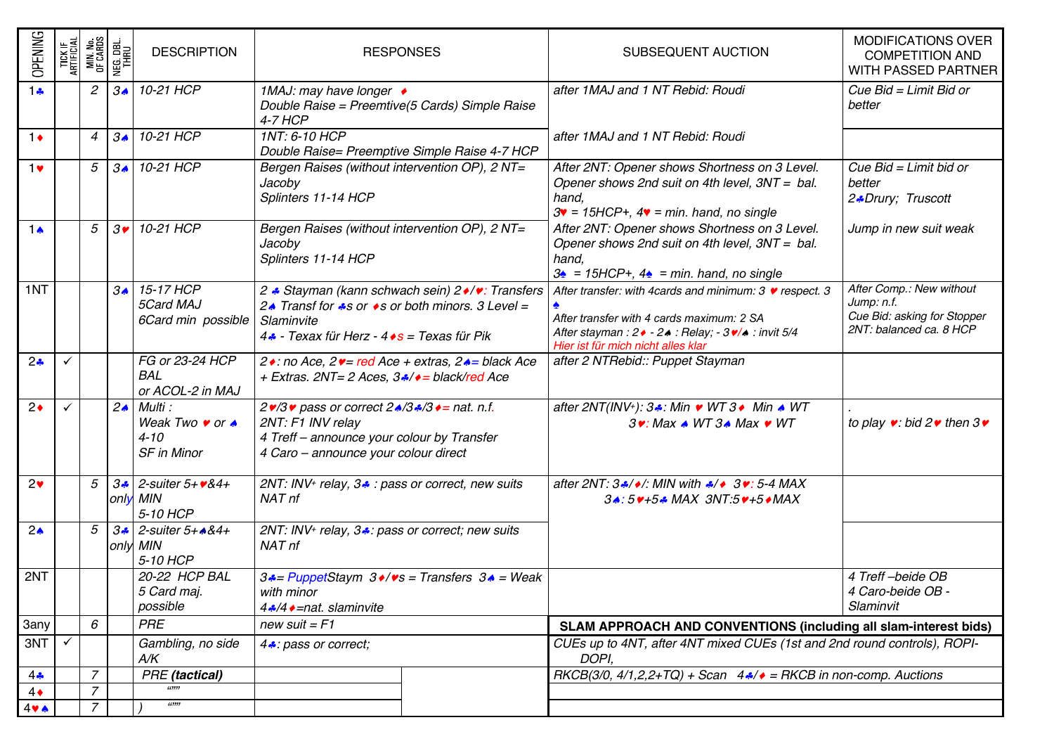| <b>OPENING</b>  | TICK IF<br>Artificial | MIN No<br>Of Cards | NEG DBL<br><u>THRU</u> | <b>DESCRIPTION</b>                                                          | <b>RESPONSES</b>                                                                                                                                                                            | SUBSEQUENT AUCTION                                                                                                                                                                                   | <b>MODIFICATIONS OVER</b><br><b>COMPETITION AND</b><br>WITH PASSED PARTNER                       |  |  |
|-----------------|-----------------------|--------------------|------------------------|-----------------------------------------------------------------------------|---------------------------------------------------------------------------------------------------------------------------------------------------------------------------------------------|------------------------------------------------------------------------------------------------------------------------------------------------------------------------------------------------------|--------------------------------------------------------------------------------------------------|--|--|
| 1.5             |                       | 2                  | $3\spadesuit$          | $10-21$ HCP                                                                 | 1MAJ: may have longer ♦<br>Double Raise = Preemtive(5 Cards) Simple Raise<br><b>4-7 HCP</b>                                                                                                 | after 1MAJ and 1 NT Rebid: Roudi                                                                                                                                                                     | Cue Bid = Limit Bid or<br>better                                                                 |  |  |
| $1\bullet$      |                       | $\overline{4}$     | $3\spadesuit$          | 10-21 HCP                                                                   | 1NT: 6-10 HCP<br>Double Raise= Preemptive Simple Raise 4-7 HCP                                                                                                                              | after 1MAJ and 1 NT Rebid: Roudi                                                                                                                                                                     |                                                                                                  |  |  |
| 1 <sub>v</sub>  |                       | 5                  | $3\spadesuit$          | 10-21 HCP                                                                   | Bergen Raises (without intervention OP), 2 NT=<br>Jacoby<br>Splinters 11-14 HCP                                                                                                             | After 2NT: Opener shows Shortness on 3 Level.<br>Opener shows 2nd suit on 4th level, 3NT = bal.<br>hand,<br>$3\text{v}$ = 15HCP+, $4\text{v}$ = min. hand, no single                                 | Cue Bid = Limit bid or<br>better<br>2.Drury; Truscott                                            |  |  |
| 1 $\bullet$     |                       | 5                  | $3\bullet$             | 10-21 HCP                                                                   | Bergen Raises (without intervention OP), 2 NT=<br>Jacoby<br>Splinters 11-14 HCP                                                                                                             | After 2NT: Opener shows Shortness on 3 Level.<br>Opener shows 2nd suit on 4th level, 3NT = bal.<br>hand,<br>$3\triangle$ = 15HCP+, $4\triangle$ = min. hand, no single                               | Jump in new suit weak                                                                            |  |  |
| 1NT             |                       |                    | $3\spadesuit$          | 15-17 HCP<br>5Card MAJ<br>6Card min possible                                | 2 ↓ Stayman (kann schwach sein) 2 •/•: Transfers<br>24 Transf for $\clubsuit s$ or $\bullet s$ or both minors. 3 Level =<br>Slaminvite<br>4. - Texax für Herz - 4 • s = Texas für Pik       | After transfer: with 4cards and minimum: 3 v respect. 3<br>After transfer with 4 cards maximum: 2 SA<br>After stayman: 2 • - 2 • : Relay; - 3 •/ • : invit 5/4<br>Hier ist für mich nicht alles klar | After Comp.: New without<br>Jump: n.f.<br>Cue Bid: asking for Stopper<br>2NT: balanced ca. 8 HCP |  |  |
| 2 <sub>•</sub>  |                       |                    |                        | FG or 23-24 HCP<br><b>BAL</b><br>or ACOL-2 in MAJ                           | 2 • : no Ace, 2 • = red Ace + extras, 2 • = black Ace<br>+ Extras. 2NT= 2 Aces, 3,8/♦ = black/red Ace                                                                                       | after 2 NTRebid:: Puppet Stayman                                                                                                                                                                     |                                                                                                  |  |  |
| $2\bullet$      |                       |                    | $2\bullet$             | Multi:<br>Weak Two $\bullet$ or $\bullet$<br>$4 - 10$<br><b>SF</b> in Minor | $2\cdot 3\cdot \text{pass}$ or correct $2\cdot 3\cdot 3\cdot 3\cdot =$ nat. n.f.<br>2NT: F1 INV relay<br>4 Treff - announce your colour by Transfer<br>4 Caro - announce your colour direct | after 2NT(INV+): 3.4: Min • WT 3 • Min ▲ WT<br>$3$ . Max $\triangle$ WT $3\triangle$ Max $\triangleright$ WT                                                                                         | to play $\bullet$ : bid 2 $\bullet$ then 3 $\bullet$                                             |  |  |
| $2\bullet$      |                       | 5                  | $3\cdot$               | $2$ -suiter $5 + 484 +$<br>only MIN<br>5-10 HCP                             | 2NT: INV <sup>+</sup> relay, 3. pass or correct, new suits<br>NAT nf                                                                                                                        | after 2NT: $3\cdot/)/$ MIN with $\cdot$ / $\cdot$ 3 $\cdot$ : 5-4 MAX<br>34:5 ++54 MAX 3NT:5 ++5 + MAX                                                                                               |                                                                                                  |  |  |
| 2 <sub>o</sub>  |                       | 5                  | $3 -$                  | $2$ -suiter $5 + 484 +$<br>only MIN<br>5-10 HCP                             | 2NT: INV <sup>+</sup> relay, 3.: pass or correct; new suits<br>NAT nf                                                                                                                       |                                                                                                                                                                                                      |                                                                                                  |  |  |
| 2NT             |                       |                    |                        | 20-22 HCP BAL<br>5 Card maj.<br>possible                                    | $3 \cdot =$ PuppetStaym $3 \cdot / \cdot s$ = Transfers $3 \cdot =$ Weak<br>with minor<br>4.8/4 • = nat. slaminvite                                                                         |                                                                                                                                                                                                      | 4 Treff-beide OB<br>4 Caro-beide OB -<br>Slaminvit                                               |  |  |
| 3any            |                       | 6                  |                        | <b>PRE</b>                                                                  | new suit $=$ $F1$                                                                                                                                                                           | SLAM APPROACH AND CONVENTIONS (including all slam-interest bids)                                                                                                                                     |                                                                                                  |  |  |
| 3NT             |                       |                    |                        | Gambling, no side<br>A/K                                                    | 4. pass or correct;                                                                                                                                                                         | CUEs up to 4NT, after 4NT mixed CUEs (1st and 2nd round controls), ROPI-<br>DOPI.                                                                                                                    |                                                                                                  |  |  |
| $4\clubsuit$    |                       | $\overline{7}$     |                        | <b>PRE</b> (tactical)                                                       |                                                                                                                                                                                             | RKCB(3/0, 4/1,2,2+TQ) + Scan $4\cdot/4$ = RKCB in non-comp. Auctions                                                                                                                                 |                                                                                                  |  |  |
| $4\bullet$      |                       | 7                  |                        |                                                                             |                                                                                                                                                                                             |                                                                                                                                                                                                      |                                                                                                  |  |  |
| $4 \vee \wedge$ |                       | $\overline{z}$     |                        | 669999                                                                      |                                                                                                                                                                                             |                                                                                                                                                                                                      |                                                                                                  |  |  |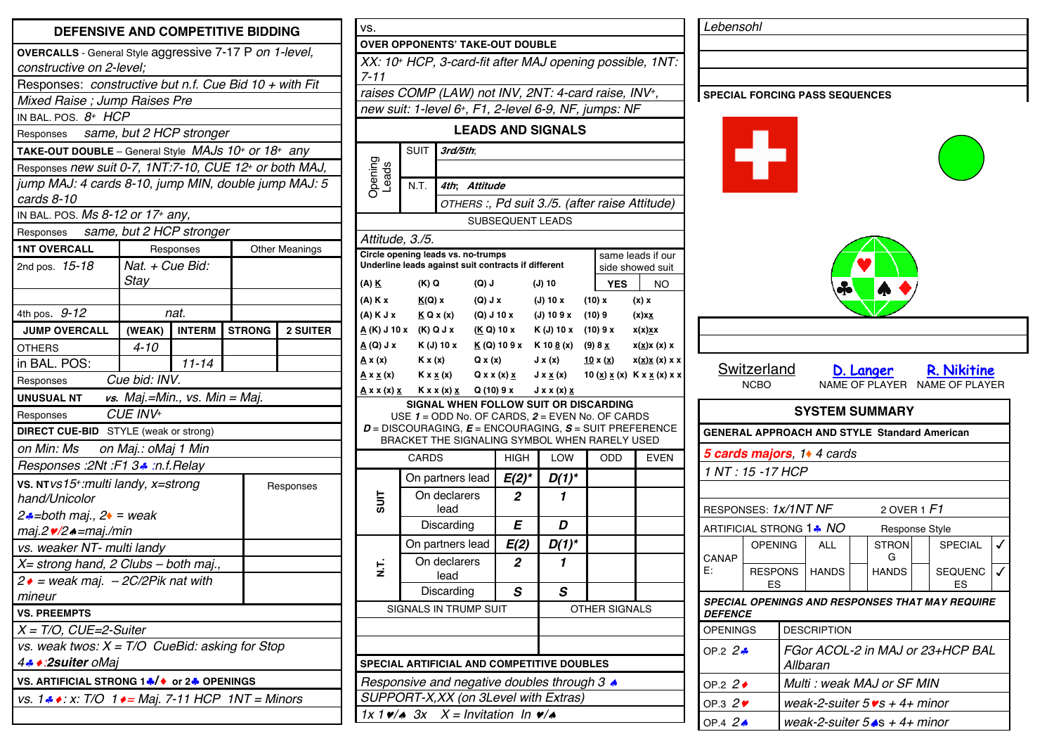| <b>DEFENSIVE AND COMPETITIVE BIDDING</b>                                                  |                                            |               |  |               |                       |  |  |  |  |
|-------------------------------------------------------------------------------------------|--------------------------------------------|---------------|--|---------------|-----------------------|--|--|--|--|
| OVERCALLS - General Style aggressive 7-17 P on 1-level,<br>constructive on 2-level;       |                                            |               |  |               |                       |  |  |  |  |
| Responses: constructive but n.f. Cue Bid 10 + with Fit                                    |                                            |               |  |               |                       |  |  |  |  |
| Mixed Raise; Jump Raises Pre                                                              |                                            |               |  |               |                       |  |  |  |  |
| IN BAL. POS. $8^+$ HCP                                                                    |                                            |               |  |               |                       |  |  |  |  |
| Responses same, but 2 HCP stronger                                                        |                                            |               |  |               |                       |  |  |  |  |
| <b>TAKE-OUT DOUBLE</b> – General Style <i>MAJs</i> 10 <sup>+</sup> or 18 <sup>+</sup> any |                                            |               |  |               |                       |  |  |  |  |
| Responses new suit 0-7, 1NT:7-10, CUE 12+ or both MAJ,                                    |                                            |               |  |               |                       |  |  |  |  |
| jump MAJ: 4 cards 8-10, jump MIN, double jump MAJ: 5<br>cards 8-10                        |                                            |               |  |               |                       |  |  |  |  |
| IN BAL. POS. Ms 8-12 or 17 <sup>+</sup> any,                                              |                                            |               |  |               |                       |  |  |  |  |
| Responses same, but 2 HCP stronger                                                        |                                            |               |  |               |                       |  |  |  |  |
| <b>1NT OVERCALL</b>                                                                       |                                            | Responses     |  |               | <b>Other Meanings</b> |  |  |  |  |
| 2nd pos. 15-18                                                                            | Nat. + Cue Bid:<br><b>Stay</b>             |               |  |               |                       |  |  |  |  |
| 4th pos. 9-12                                                                             |                                            | nat.          |  |               |                       |  |  |  |  |
|                                                                                           |                                            |               |  | <b>STRONG</b> |                       |  |  |  |  |
| <b>JUMP OVERCALL</b>                                                                      | (WEAK)<br>$4 - 10$                         | <b>INTERM</b> |  |               | <b>2 SUITER</b>       |  |  |  |  |
| <b>OTHERS</b>                                                                             |                                            |               |  |               |                       |  |  |  |  |
|                                                                                           | $11 - 14$<br>in BAL. POS:<br>Cue bid: INV. |               |  |               |                       |  |  |  |  |
| Responses<br>vs. Maj.=Min., vs. Min = Maj.<br><b>UNUSUAL NT</b>                           |                                            |               |  |               |                       |  |  |  |  |
| CUE INV+<br>Responses                                                                     |                                            |               |  |               |                       |  |  |  |  |
| <b>DIRECT CUE-BID</b> STYLE (weak or strong)                                              |                                            |               |  |               |                       |  |  |  |  |
| on Min: Ms on Maj.: oMaj 1 Min                                                            |                                            |               |  |               |                       |  |  |  |  |
| Responses :2Nt :F1 3. :n.f.Relay                                                          |                                            |               |  |               |                       |  |  |  |  |
| VS. NTvs15+:multi landy, x=strong<br>Responses                                            |                                            |               |  |               |                       |  |  |  |  |
| hand/Unicolor                                                                             |                                            |               |  |               |                       |  |  |  |  |
| $2\cdot\text{-}$ both maj., $2\cdot\text{-}$ weak                                         |                                            |               |  |               |                       |  |  |  |  |
| maj.2 v/2 ▲=maj./min                                                                      |                                            |               |  |               |                       |  |  |  |  |
|                                                                                           | vs. weaker NT- multi landy                 |               |  |               |                       |  |  |  |  |
| X= strong hand, 2 Clubs - both maj.,                                                      |                                            |               |  |               |                       |  |  |  |  |
| $2 \cdot$ = weak maj. - 2C/2Pik nat with                                                  |                                            |               |  |               |                       |  |  |  |  |
| mineur                                                                                    |                                            |               |  |               |                       |  |  |  |  |
| <b>VS. PREEMPTS</b>                                                                       |                                            |               |  |               |                       |  |  |  |  |
| $X = T/O$ , CUE=2-Suiter                                                                  |                                            |               |  |               |                       |  |  |  |  |
| vs. weak twos: $X = T/O$ CueBid: asking for Stop                                          |                                            |               |  |               |                       |  |  |  |  |
| 4. 2suiter oMaj                                                                           |                                            |               |  |               |                       |  |  |  |  |
| VS. ARTIFICIAL STRONG 1♣ /♦ or 2♣ OPENINGS                                                |                                            |               |  |               |                       |  |  |  |  |
| vs. $1 \cdot \cdot \cdot$ : x: T/O $1 \cdot \cdot =$ Maj. 7-11 HCP 1NT = Minors           |                                            |               |  |               |                       |  |  |  |  |
|                                                                                           |                                            |               |  |               |                       |  |  |  |  |

| VS.                                                                                                                                |                                                      |                                               |                           |             |            |                              |  |                              |                          |                       |  |  |
|------------------------------------------------------------------------------------------------------------------------------------|------------------------------------------------------|-----------------------------------------------|---------------------------|-------------|------------|------------------------------|--|------------------------------|--------------------------|-----------------------|--|--|
| <b>OVER OPPONENTS' TAKE-OUT DOUBLE</b>                                                                                             |                                                      |                                               |                           |             |            |                              |  |                              |                          |                       |  |  |
| XX: 10+ HCP, 3-card-fit after MAJ opening possible, 1NT:<br>7-11                                                                   |                                                      |                                               |                           |             |            |                              |  |                              |                          |                       |  |  |
| raises COMP (LAW) not INV, 2NT: 4-card raise, INV+,                                                                                |                                                      |                                               |                           |             |            |                              |  |                              |                          |                       |  |  |
|                                                                                                                                    | new suit: 1-level 6+, F1, 2-level 6-9, NF, jumps: NF |                                               |                           |             |            |                              |  |                              |                          |                       |  |  |
| <b>LEADS AND SIGNALS</b>                                                                                                           |                                                      |                                               |                           |             |            |                              |  |                              |                          |                       |  |  |
|                                                                                                                                    | <b>SUIT</b><br>3rd/5th.                              |                                               |                           |             |            |                              |  |                              |                          |                       |  |  |
| Dpening<br>Leads                                                                                                                   |                                                      |                                               |                           |             |            |                              |  |                              |                          |                       |  |  |
|                                                                                                                                    | N.T.                                                 | 4th:                                          | <b>Attitude</b>           |             |            |                              |  |                              |                          |                       |  |  |
|                                                                                                                                    |                                                      | OTHERS:, Pd suit 3./5. (after raise Attitude) |                           |             |            |                              |  |                              |                          |                       |  |  |
|                                                                                                                                    |                                                      |                                               | SUBSEQUENT LEADS          |             |            |                              |  |                              |                          |                       |  |  |
| Attitude, 3./5.                                                                                                                    |                                                      |                                               |                           |             |            |                              |  |                              |                          |                       |  |  |
| Circle opening leads vs. no-trumps<br>same leads if our<br>Underline leads against suit contracts if different<br>side showed suit |                                                      |                                               |                           |             |            |                              |  |                              |                          |                       |  |  |
| (A) <u>K</u>                                                                                                                       | (K) Q                                                |                                               | $(Q)$ J                   |             |            | $(J)$ 10                     |  | <b>YES</b>                   | NO.                      |                       |  |  |
| (A) K x                                                                                                                            | <u>K(Q)</u> x                                        |                                               | (Q) J x                   |             |            | (J) 10 x                     |  | (10) x                       | $(x)$ x                  |                       |  |  |
| $(A)$ K J x                                                                                                                        | K Q X (x)                                            |                                               | (Q) J 10 x                |             |            | (J) 109x                     |  | (10)9                        | $(x)$ $xx$               |                       |  |  |
|                                                                                                                                    | <u>A</u> (K) J 10 x (K) Q J x                        |                                               |                           | (K Q) 10 x  | K (J) 10 x |                              |  | (10) 9 x                     | x(x) <u>x</u> x          |                       |  |  |
| $X \cup (Q) \underline{A}$                                                                                                         | K (J) 10 x                                           |                                               | <u>K</u> (Q) 10 9 x       |             |            | K 10 <u>8</u> (x)            |  | (9) 8 <u>x</u>               | $x(\underline{x})x(x)$ x |                       |  |  |
| <u>A</u> x (x)                                                                                                                     | K x(x)                                               |                                               | $Q \times (x)$            |             |            | $J \times (x)$               |  | <u>10 x (x)</u>              |                          | x( <u>x)x</u> (x) x x |  |  |
| <u>A x x (x)</u>                                                                                                                   | $K x \times (x)$                                     |                                               | $Q \times X$ $(X) \times$ |             |            | $J \times \underline{x} (x)$ |  | 10 (x) $x(x)$ K x $x(x)$ x x |                          |                       |  |  |
| <u>A</u> x x (x) <u>x</u>                                                                                                          | $Kxx(x)$ $x$ Q (10) 9 x J x x (x) $x$                |                                               |                           |             |            |                              |  |                              |                          |                       |  |  |
| SIGNAL WHEN FOLLOW SUIT OR DISCARDING<br>USE $1 =$ ODD No. OF CARDS, $2 =$ EVEN No. OF CARDS                                       |                                                      |                                               |                           |             |            |                              |  |                              |                          |                       |  |  |
|                                                                                                                                    |                                                      |                                               |                           |             |            |                              |  |                              |                          |                       |  |  |
| $D = DISCOURAGING$ , $E = ENCOURAGING$ , $S = SUIT PREFERENCE$<br>BRACKET THE SIGNALING SYMBOL WHEN RARELY USED                    |                                                      |                                               |                           |             |            |                              |  |                              |                          |                       |  |  |
| <b>CARDS</b>                                                                                                                       |                                                      |                                               |                           | <b>HIGH</b> |            | LOW                          |  | ODD                          |                          | <b>EVEN</b>           |  |  |
|                                                                                                                                    |                                                      | On partners lead                              |                           | $E(2)^{*}$  |            | D(1)*                        |  |                              |                          |                       |  |  |
| 1lns                                                                                                                               | On declarers<br>lead                                 |                                               |                           | 2           |            | 1                            |  |                              |                          |                       |  |  |
|                                                                                                                                    | Discarding                                           |                                               |                           | E           |            | D                            |  |                              |                          |                       |  |  |
|                                                                                                                                    | On partners lead                                     |                                               |                           | E(2)        |            | D(1)*                        |  |                              |                          |                       |  |  |
| F.<br>Z                                                                                                                            | On declarers<br>lead                                 |                                               |                           | 2           |            | 1                            |  |                              |                          |                       |  |  |
|                                                                                                                                    | Discarding                                           | S                                             |                           | S           |            |                              |  |                              |                          |                       |  |  |
|                                                                                                                                    | <b>SIGNALS IN TRUMP SUIT</b>                         |                                               | OTHER SIGNALS             |             |            |                              |  |                              |                          |                       |  |  |
|                                                                                                                                    |                                                      |                                               |                           |             |            |                              |  |                              |                          |                       |  |  |
|                                                                                                                                    |                                                      |                                               |                           |             |            |                              |  |                              |                          |                       |  |  |
| SPECIAL ARTIFICIAL AND COMPETITIVE DOUBLES                                                                                         |                                                      |                                               |                           |             |            |                              |  |                              |                          |                       |  |  |
| Responsive and negative doubles through 3 $\triangle$                                                                              |                                                      |                                               |                           |             |            |                              |  |                              |                          |                       |  |  |
|                                                                                                                                    |                                                      |                                               |                           |             |            |                              |  |                              |                          |                       |  |  |
| SUPPORT-X, XX (on 3Level with Extras)                                                                                              |                                                      |                                               |                           |             |            |                              |  |                              |                          |                       |  |  |
| $1x 1 \vee x 3x$<br>$X =$ Invitation In $\psi$ / $\phi$                                                                            |                                                      |                                               |                           |             |            |                              |  |                              |                          |                       |  |  |

|                       |                                   |                                              |                                        |                                                     |  |                                                               |  | <b>SPECIAL FORCING PASS SEQUENCES</b> |
|-----------------------|-----------------------------------|----------------------------------------------|----------------------------------------|-----------------------------------------------------|--|---------------------------------------------------------------|--|---------------------------------------|
|                       | <b>Switzerland</b><br><b>NCBO</b> |                                              |                                        |                                                     |  | <b>D. Langer R. Nikitine</b><br>NAME OF PLAYER NAME OF PLAYER |  |                                       |
| <b>SYSTEM SUMMARY</b> |                                   |                                              |                                        |                                                     |  |                                                               |  |                                       |
| 1 NT: 15 - 17 HCP     |                                   |                                              | 5 cards majors, 1 <sup>*</sup> 4 cards | <b>GENERAL APPROACH AND STYLE Standard American</b> |  |                                                               |  |                                       |
| RESPONSES: 1x/1NT NF  |                                   |                                              |                                        | 2 OVER $1$ $F1$                                     |  |                                                               |  |                                       |
|                       |                                   |                                              | ARTIFICIAL STRONG 1. NO                | Response Style                                      |  |                                                               |  |                                       |
| CANAP                 | <b>OPENING</b>                    |                                              | <b>ALL</b>                             | <b>STRON</b><br>G                                   |  | <b>SPECIAL</b>                                                |  |                                       |
| E:                    | ES                                |                                              | RESPONS   HANDS                        | <b>HANDS</b>                                        |  | <b>SEQUENC</b><br>ES                                          |  |                                       |
| <i><b>DEFENCE</b></i> |                                   |                                              |                                        |                                                     |  | SPECIAL OPENINGS AND RESPONSES THAT MAY REQUIRE               |  |                                       |
| <b>OPENINGS</b>       |                                   | <b>DESCRIPTION</b>                           |                                        |                                                     |  |                                                               |  |                                       |
| OP.2 $2\frac{3}{2}$   |                                   | FGor ACOL-2 in MAJ or 23+HCP BAL<br>Allbaran |                                        |                                                     |  |                                                               |  |                                       |
| OP.2 $2 \bullet$      |                                   |                                              |                                        | Multi: weak MAJ or SF MIN                           |  |                                                               |  |                                       |
| OP.3 $2\degree$       |                                   |                                              |                                        | weak-2-suiter $5 \text{vs} + 4 + \text{minor}$      |  |                                                               |  |                                       |
| OP 4 $2\triangle$     |                                   | weak-2-suiter $5 \triangle 6 + 4 +$ minor    |                                        |                                                     |  |                                                               |  |                                       |

*Lebensohl*